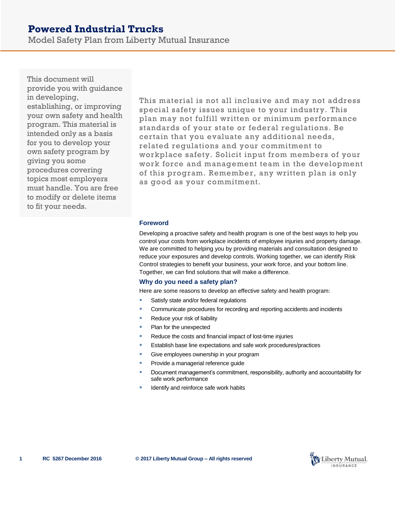# **Powered Industrial Trucks**

Model Safety Plan from Liberty Mutual Insurance

This document will provide you with guidance in developing, establishing, or improving your own safety and health program. This material is intended only as a basis for you to develop your own safety program by giving you some procedures covering topics most employers must handle. You are free to modify or delete items to fit your needs.

This material is not all inclusive and may not address special safety issues unique to your industry. This plan may not fulfill written or minimum performance standards of your state or federal regulations. Be certain that you evaluate any additional needs, related regulations and your commitment to workplace safety. Solicit input from members of your work force and management team in the development of this program. Remember, any written plan is only as good as your commitment.

#### **Foreword**

Developing a proactive safety and health program is one of the best ways to help you control your costs from workplace incidents of employee injuries and property damage. We are committed to helping you by providing materials and consultation designed to reduce your exposures and develop controls. Working together, we can identify Risk Control strategies to benefit your business, your work force, and your bottom line. Together, we can find solutions that will make a difference.

## **Why do you need a safety plan?**

Here are some reasons to develop an effective safety and health program:

- Satisfy state and/or federal regulations
- Communicate procedures for recording and reporting accidents and incidents
- Reduce your risk of liability
- Plan for the unexpected
- Reduce the costs and financial impact of lost-time injuries
- Establish base line expectations and safe work procedures/practices
- Give employees ownership in your program
- Provide a managerial reference guide
- Document management's commitment, responsibility, authority and accountability for safe work performance
- Identify and reinforce safe work habits

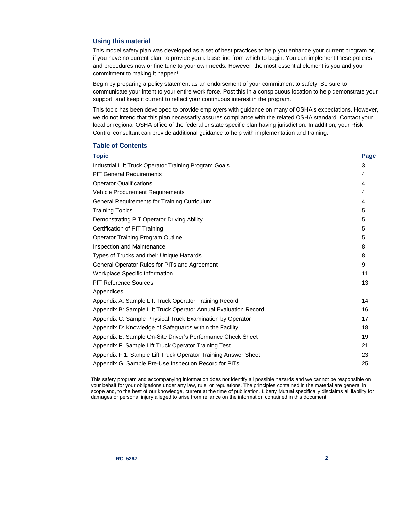#### **Using this material**

This model safety plan was developed as a set of best practices to help you enhance your current program or, if you have no current plan, to provide you a base line from which to begin. You can implement these policies and procedures now or fine tune to your own needs. However, the most essential element is you and your commitment to making it happen!

Begin by preparing a policy statement as an endorsement of your commitment to safety. Be sure to communicate your intent to your entire work force. Post this in a conspicuous location to help demonstrate your support, and keep it current to reflect your continuous interest in the program.

This topic has been developed to provide employers with guidance on many of OSHA's expectations. However, we do not intend that this plan necessarily assures compliance with the related OSHA standard. Contact your local or regional OSHA office of the federal or state specific plan having jurisdiction. In addition, your Risk Control consultant can provide additional guidance to help with implementation and training.

#### **Table of Contents**

| Topic                                                           | Page |
|-----------------------------------------------------------------|------|
| Industrial Lift Truck Operator Training Program Goals           | 3    |
| <b>PIT General Requirements</b>                                 | 4    |
| <b>Operator Qualifications</b>                                  | 4    |
| <b>Vehicle Procurement Requirements</b>                         | 4    |
| General Requirements for Training Curriculum                    | 4    |
| <b>Training Topics</b>                                          | 5    |
| Demonstrating PIT Operator Driving Ability                      | 5    |
| Certification of PIT Training                                   | 5    |
| <b>Operator Training Program Outline</b>                        | 5    |
| <b>Inspection and Maintenance</b>                               | 8    |
| Types of Trucks and their Unique Hazards                        | 8    |
| General Operator Rules for PITs and Agreement                   | 9    |
| Workplace Specific Information                                  | 11   |
| <b>PIT Reference Sources</b>                                    | 13   |
| Appendices                                                      |      |
| Appendix A: Sample Lift Truck Operator Training Record          | 14   |
| Appendix B: Sample Lift Truck Operator Annual Evaluation Record | 16   |
| Appendix C: Sample Physical Truck Examination by Operator       | 17   |
| Appendix D: Knowledge of Safeguards within the Facility         | 18   |
| Appendix E: Sample On-Site Driver's Performance Check Sheet     | 19   |
| Appendix F: Sample Lift Truck Operator Training Test            | 21   |
| Appendix F.1: Sample Lift Truck Operator Training Answer Sheet  | 23   |
| Appendix G: Sample Pre-Use Inspection Record for PITs           | 25   |

This safety program and accompanying information does not identify all possible hazards and we cannot be responsible on your behalf for your obligations under any law, rule, or regulations. The principles contained in the material are general in scope and, to the best of our knowledge, current at the time of publication. Liberty Mutual specifically disclaims all liability for damages or personal injury alleged to arise from reliance on the information contained in this document.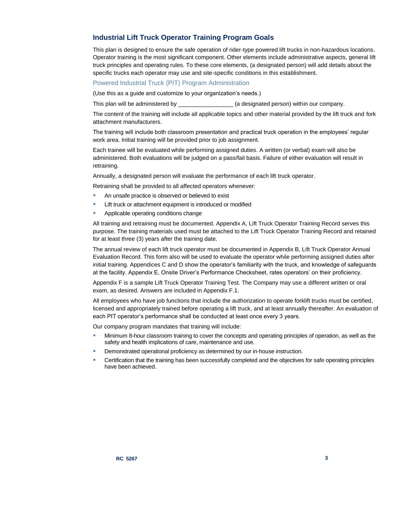# **Industrial Lift Truck Operator Training Program Goals**

This plan is designed to ensure the safe operation of rider-type powered lift trucks in non-hazardous locations. Operator training is the most significant component. Other elements include administrative aspects, general lift truck principles and operating rules. To these core elements, (a designated person) will add details about the specific trucks each operator may use and site-specific conditions in this establishment.

Powered Industrial Truck (PIT) Program Administration

(Use this as a guide and customize to your organization's needs.)

This plan will be administered by **Example 20** (a designated person) within our company.

The content of the training will include all applicable topics and other material provided by the lift truck and fork attachment manufacturers.

The training will include both classroom presentation and practical truck operation in the employees' regular work area. Initial training will be provided prior to job assignment.

Each trainee will be evaluated while performing assigned duties. A written (or verbal) exam will also be administered. Both evaluations will be judged on a pass/fail basis. Failure of either evaluation will result in retraining.

Annually, a designated person will evaluate the performance of each lift truck operator.

Retraining shall be provided to all affected operators whenever:

- **An unsafe practice is observed or believed to exist**
- Lift truck or attachment equipment is introduced or modified
- Applicable operating conditions change

All training and retraining must be documented. Appendix A, Lift Truck Operator Training Record serves this purpose. The training materials used must be attached to the Lift Truck Operator Training Record and retained for at least three (3) years after the training date.

The annual review of each lift truck operator must be documented in Appendix B, Lift Truck Operator Annual Evaluation Record. This form also will be used to evaluate the operator while performing assigned duties after initial training. Appendices C and D show the operator's familiarity with the truck, and knowledge of safeguards at the facility. Appendix E, Onsite Driver's Performance Checksheet, rates operators' on their proficiency.

Appendix F is a sample Lift Truck Operator Training Test. The Company may use a different written or oral exam, as desired. Answers are included in Appendix F.1.

All employees who have job functions that include the authorization to operate forklift trucks must be certified, licensed and appropriately trained before operating a lift truck, and at least annually thereafter. An evaluation of each PIT operator's performance shall be conducted at least once every 3 years.

Our company program mandates that training will include:

- **Minimum 8-hour classroom training to cover the concepts and operating principles of operation, as well as the** safety and health implications of care, maintenance and use.
- **Demonstrated operational proficiency as determined by our in-house instruction.**
- **EXEC** Certification that the training has been successfully completed and the objectives for safe operating principles have been achieved.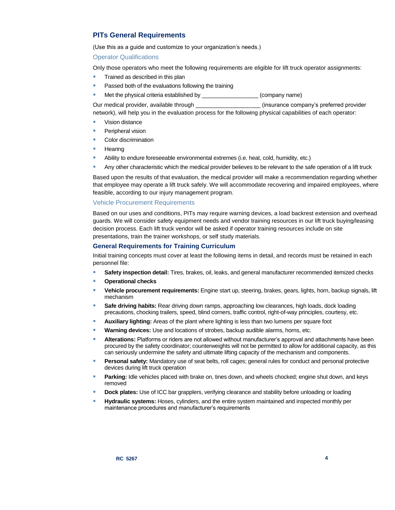# **PITs General Requirements**

(Use this as a guide and customize to your organization's needs.)

Operator Qualifications

Only those operators who meet the following requirements are eligible for lift truck operator assignments:

- Trained as described in this plan
- **Passed both of the evaluations following the training**

Met the physical criteria established by \_\_\_\_\_\_\_\_\_\_\_\_\_\_\_\_\_\_\_\_(company name)

Our medical provider, available through \_\_\_\_\_\_\_\_\_\_\_\_\_\_\_\_\_\_\_\_ (insurance company's preferred provider network), will help you in the evaluation process for the following physical capabilities of each operator:

- **Vision distance**
- Peripheral vision
- Color discrimination
- **Hearing**
- Ability to endure foreseeable environmental extremes (i.e. heat, cold, humidity, etc.)
- Any other characteristic which the medical provider believes to be relevant to the safe operation of a lift truck

Based upon the results of that evaluation, the medical provider will make a recommendation regarding whether that employee may operate a lift truck safely. We will accommodate recovering and impaired employees, where feasible, according to our injury management program.

#### Vehicle Procurement Requirements

Based on our uses and conditions, PITs may require warning devices, a load backrest extension and overhead guards. We will consider safety equipment needs and vendor training resources in our lift truck buying/leasing decision process. Each lift truck vendor will be asked if operator training resources include on site presentations, train the trainer workshops, or self study materials.

#### **General Requirements for Training Curriculum**

Initial training concepts must cover at least the following items in detail, and records must be retained in each personnel file:

- **Safety inspection detail:** Tires, brakes, oil, leaks, and general manufacturer recommended itemized checks
- **Operational checks**
- **Vehicle procurement requirements:** Engine start up, steering, brakes, gears, lights, horn, backup signals, lift mechanism
- **Safe driving habits:** Rear driving down ramps, approaching low clearances, high loads, dock loading precautions, chocking trailers, speed, blind corners, traffic control, right-of-way principles, courtesy, etc.
- **Auxiliary lighting:** Areas of the plant where lighting is less than two lumens per square foot
- **Warning devices:** Use and locations of strobes, backup audible alarms, horns, etc.
- **Alterations:** Platforms or riders are not allowed without manufacturer's approval and attachments have been procured by the safety coordinator; counterweights will not be permitted to allow for additional capacity, as this can seriously undermine the safety and ultimate lifting capacity of the mechanism and components.
- **Personal safety:** Mandatory use of seat belts, roll cages; general rules for conduct and personal protective devices during lift truck operation
- **Parking:** Idle vehicles placed with brake on, tines down, and wheels chocked; engine shut down, and keys removed
- **Dock plates:** Use of ICC bar grapplers, verifying clearance and stability before unloading or loading
- **Hydraulic systems:** Hoses, cylinders, and the entire system maintained and inspected monthly per maintenance procedures and manufacturer's requirements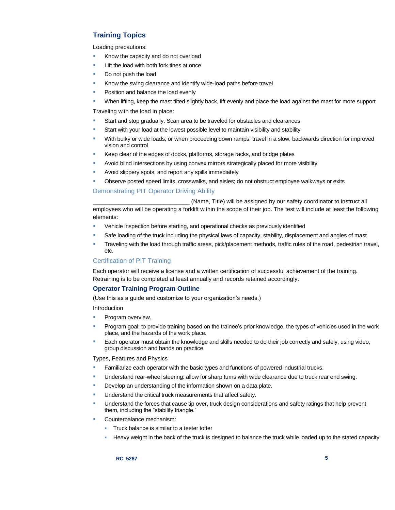# **Training Topics**

Loading precautions:

- Know the capacity and do not overload
- **Lift the load with both fork tines at once**
- Do not push the load
- Know the swing clearance and identify wide-load paths before travel
- **Position and balance the load evenly**
- When lifting, keep the mast tilted slightly back, lift evenly and place the load against the mast for more support

Traveling with the load in place:

- Start and stop gradually. Scan area to be traveled for obstacles and clearances
- Start with your load at the lowest possible level to maintain visibility and stability
- With bulky or wide loads, or when proceeding down ramps, travel in a slow, backwards direction for improved vision and control
- Keep clear of the edges of docks, platforms, storage racks, and bridge plates
- Avoid blind intersections by using convex mirrors strategically placed for more visibility
- **Avoid slippery spots, and report any spills immediately**
- **DIM** Observe posted speed limits, crosswalks, and aisles; do not obstruct employee walkways or exits

#### Demonstrating PIT Operator Driving Ability

(Name, Title) will be assigned by our safety coordinator to instruct all employees who will be operating a forklift within the scope of their job. The test will include at least the following elements:

- Vehicle inspection before starting, and operational checks as previously identified
- Safe loading of the truck including the physical laws of capacity, stability, displacement and angles of mast
- Traveling with the load through traffic areas, pick/placement methods, traffic rules of the road, pedestrian travel, etc.

## Certification of PIT Training

Each operator will receive a license and a written certification of successful achievement of the training. Retraining is to be completed at least annually and records retained accordingly.

## **Operator Training Program Outline**

(Use this as a guide and customize to your organization's needs.)

Introduction

- **Program overview.**
- Program goal: to provide training based on the trainee's prior knowledge, the types of vehicles used in the work place, and the hazards of the work place.
- **Each operator must obtain the knowledge and skills needed to do their job correctly and safely, using video,** group discussion and hands on practice.

Types, Features and Physics

- **Familiarize each operator with the basic types and functions of powered industrial trucks.**
- **Understand rear-wheel steering: allow for sharp turns with wide clearance due to truck rear end swing.**
- Develop an understanding of the information shown on a data plate.
- Understand the critical truck measurements that affect safety.
- Understand the forces that cause tip over, truck design considerations and safety ratings that help prevent them, including the "stability triangle."
- Counterbalance mechanism:
	- Truck balance is similar to a teeter totter
	- Heavy weight in the back of the truck is designed to balance the truck while loaded up to the stated capacity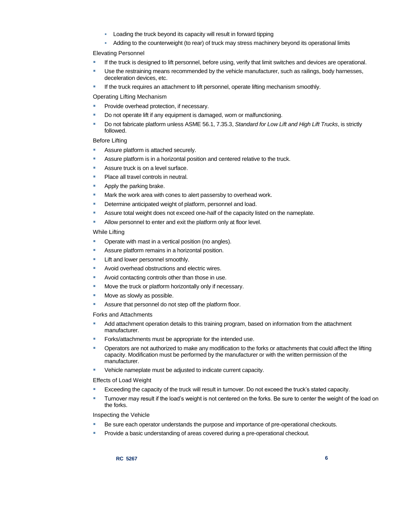- Loading the truck beyond its capacity will result in forward tipping
- Adding to the counterweight (to rear) of truck may stress machinery beyond its operational limits

#### Elevating Personnel

- If the truck is designed to lift personnel, before using, verify that limit switches and devices are operational.
- Use the restraining means recommended by the vehicle manufacturer, such as railings, body harnesses, deceleration devices, etc.
- If the truck requires an attachment to lift personnel, operate lifting mechanism smoothly.

Operating Lifting Mechanism

- Provide overhead protection, if necessary.
- Do not operate lift if any equipment is damaged, worn or malfunctioning.
- Do not fabricate platform unless ASME 56.1, 7.35.3, *Standard for Low Lift and High Lift Trucks*, is strictly followed.

#### Before Lifting

- Assure platform is attached securely.
- Assure platform is in a horizontal position and centered relative to the truck.
- **Assure truck is on a level surface.**
- Place all travel controls in neutral.
- **Apply the parking brake.**
- **Mark the work area with cones to alert passersby to overhead work.**
- Determine anticipated weight of platform, personnel and load.
- **Assure total weight does not exceed one-half of the capacity listed on the nameplate.**
- **Allow personnel to enter and exit the platform only at floor level.**

#### While Lifting

- **•** Operate with mast in a vertical position (no angles).
- Assure platform remains in a horizontal position.
- **Lift and lower personnel smoothly.**
- **Avoid overhead obstructions and electric wires.**
- Avoid contacting controls other than those in use.
- **Move the truck or platform horizontally only if necessary.**
- **Move as slowly as possible.**
- Assure that personnel do not step off the platform floor.

#### Forks and Attachments

- Add attachment operation details to this training program, based on information from the attachment manufacturer.
- Forks/attachments must be appropriate for the intended use.
- Operators are not authorized to make any modification to the forks or attachments that could affect the lifting capacity. Modification must be performed by the manufacturer or with the written permission of the manufacturer.
- Vehicle nameplate must be adjusted to indicate current capacity.

#### Effects of Load Weight

- Exceeding the capacity of the truck will result in turnover. Do not exceed the truck's stated capacity.
- **Turnover may result if the load's weight is not centered on the forks. Be sure to center the weight of the load on** the forks.

#### Inspecting the Vehicle

- **Be sure each operator understands the purpose and importance of pre-operational checkouts.**
- Provide a basic understanding of areas covered during a pre-operational checkout.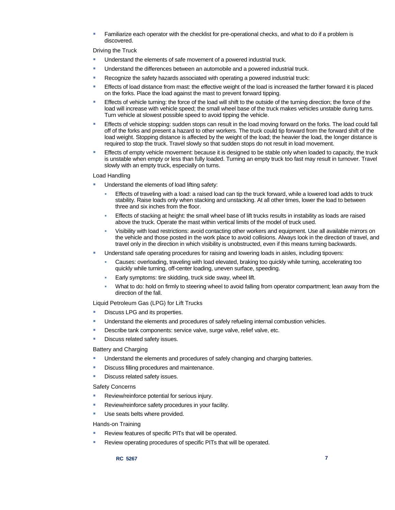Familiarize each operator with the checklist for pre-operational checks, and what to do if a problem is discovered.

Driving the Truck

- Understand the elements of safe movement of a powered industrial truck.
- Understand the differences between an automobile and a powered industrial truck.
- Recognize the safety hazards associated with operating a powered industrial truck:
- Effects of load distance from mast: the effective weight of the load is increased the farther forward it is placed on the forks. Place the load against the mast to prevent forward tipping.
- Effects of vehicle turning: the force of the load will shift to the outside of the turning direction; the force of the load will increase with vehicle speed; the small wheel base of the truck makes vehicles unstable during turns. Turn vehicle at slowest possible speed to avoid tipping the vehicle.
- **Effects of vehicle stopping: sudden stops can result in the load moving forward on the forks. The load could fall** off of the forks and present a hazard to other workers. The truck could tip forward from the forward shift of the load weight. Stopping distance is affected by the weight of the load; the heavier the load, the longer distance is required to stop the truck. Travel slowly so that sudden stops do not result in load movement.
- **Effects of empty vehicle movement: because it is designed to be stable only when loaded to capacity, the truck** is unstable when empty or less than fully loaded. Turning an empty truck too fast may result in turnover. Travel slowly with an empty truck, especially on turns.

#### Load Handling

- Understand the elements of load lifting safety:
	- Effects of traveling with a load: a raised load can tip the truck forward, while a lowered load adds to truck stability. Raise loads only when stacking and unstacking. At all other times, lower the load to between three and six inches from the floor.
	- Effects of stacking at height: the small wheel base of lift trucks results in instability as loads are raised above the truck. Operate the mast within vertical limits of the model of truck used.
	- Visibility with load restrictions: avoid contacting other workers and equipment. Use all available mirrors on the vehicle and those posted in the work place to avoid collisions. Always look in the direction of travel, and travel only in the direction in which visibility is unobstructed, even if this means turning backwards.
- Understand safe operating procedures for raising and lowering loads in aisles, including tipovers:
	- Causes: overloading, traveling with load elevated, braking too quickly while turning, accelerating too quickly while turning, off-center loading, uneven surface, speeding.
	- Early symptoms: tire skidding, truck side sway, wheel lift.
	- What to do: hold on firmly to steering wheel to avoid falling from operator compartment; lean away from the direction of the fall.

### Liquid Petroleum Gas (LPG) for Lift Trucks

- Discuss LPG and its properties.
- Understand the elements and procedures of safely refueling internal combustion vehicles.
- Describe tank components: service valve, surge valve, relief valve, etc.
- Discuss related safety issues.

#### Battery and Charging

- **Understand the elements and procedures of safely changing and charging batteries.**
- Discuss filling procedures and maintenance.
- Discuss related safety issues.

#### Safety Concerns

- **Review/reinforce potential for serious injury.**
- Review/reinforce safety procedures in your facility.
- Use seats belts where provided.

#### Hands-on Training

- Review features of specific PITs that will be operated.
- Review operating procedures of specific PITs that will be operated.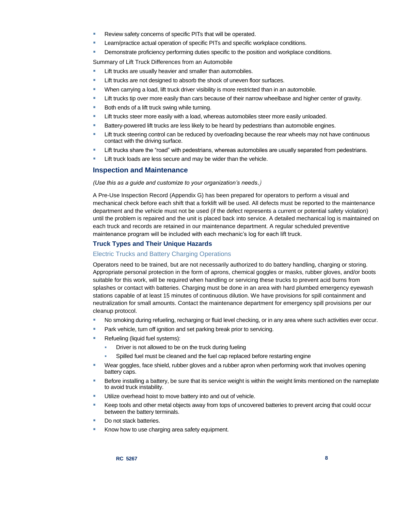- Review safety concerns of specific PITs that will be operated.
- Learn/practice actual operation of specific PITs and specific workplace conditions.
- Demonstrate proficiency performing duties specific to the position and workplace conditions.

Summary of Lift Truck Differences from an Automobile

- Lift trucks are usually heavier and smaller than automobiles.
- Lift trucks are not designed to absorb the shock of uneven floor surfaces.
- When carrying a load, lift truck driver visibility is more restricted than in an automobile.
- **Lift trucks tip over more easily than cars because of their narrow wheelbase and higher center of gravity.**
- Both ends of a lift truck swing while turning.
- Lift trucks steer more easily with a load, whereas automobiles steer more easily unloaded.
- **Battery-powered lift trucks are less likely to be heard by pedestrians than automobile engines.**
- Lift truck steering control can be reduced by overloading because the rear wheels may not have continuous contact with the driving surface.
- Lift trucks share the "road" with pedestrians, whereas automobiles are usually separated from pedestrians.
- Lift truck loads are less secure and may be wider than the vehicle.

#### **Inspection and Maintenance**

#### *(Use this as a guide and customize to your organization's needs.)*

A Pre-Use Inspection Record (Appendix G) has been prepared for operators to perform a visual and mechanical check before each shift that a forklift will be used. All defects must be reported to the maintenance department and the vehicle must not be used (if the defect represents a current or potential safety violation) until the problem is repaired and the unit is placed back into service. A detailed mechanical log is maintained on each truck and records are retained in our maintenance department. A regular scheduled preventive maintenance program will be included with each mechanic's log for each lift truck.

### **Truck Types and Their Unique Hazards**

#### Electric Trucks and Battery Charging Operations

Operators need to be trained, but are not necessarily authorized to do battery handling, charging or storing. Appropriate personal protection in the form of aprons, chemical goggles or masks, rubber gloves, and/or boots suitable for this work, will be required when handling or servicing these trucks to prevent acid burns from splashes or contact with batteries. Charging must be done in an area with hard plumbed emergency eyewash stations capable of at least 15 minutes of continuous dilution. We have provisions for spill containment and neutralization for small amounts. Contact the maintenance department for emergency spill provisions per our cleanup protocol.

- No smoking during refueling, recharging or fluid level checking, or in any area where such activities ever occur.
- Park vehicle, turn off ignition and set parking break prior to servicing.
- Refueling (liquid fuel systems):
	- Driver is not allowed to be on the truck during fueling
	- Spilled fuel must be cleaned and the fuel cap replaced before restarting engine
- Wear goggles, face shield, rubber gloves and a rubber apron when performing work that involves opening battery caps.
- Before installing a battery, be sure that its service weight is within the weight limits mentioned on the nameplate to avoid truck instability.
- Utilize overhead hoist to move battery into and out of vehicle.
- Keep tools and other metal objects away from tops of uncovered batteries to prevent arcing that could occur between the battery terminals.
- Do not stack batteries.
- Know how to use charging area safety equipment.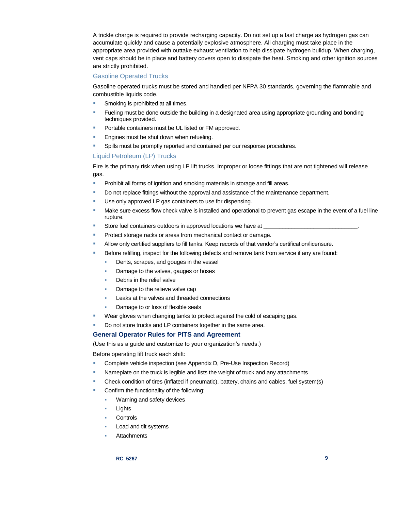A trickle charge is required to provide recharging capacity. Do not set up a fast charge as hydrogen gas can accumulate quickly and cause a potentially explosive atmosphere. All charging must take place in the appropriate area provided with outtake exhaust ventilation to help dissipate hydrogen buildup. When charging, vent caps should be in place and battery covers open to dissipate the heat. Smoking and other ignition sources are strictly prohibited.

#### Gasoline Operated Trucks

Gasoline operated trucks must be stored and handled per NFPA 30 standards, governing the flammable and combustible liquids code.

- Smoking is prohibited at all times.
- Fueling must be done outside the building in a designated area using appropriate grounding and bonding techniques provided.
- Portable containers must be UL listed or FM approved.
- **Engines must be shut down when refueling.**
- Spills must be promptly reported and contained per our response procedures.

# Liquid Petroleum (LP) Trucks

Fire is the primary risk when using LP lift trucks. Improper or loose fittings that are not tightened will release gas.

- **Prohibit all forms of ignition and smoking materials in storage and fill areas.**
- Do not replace fittings without the approval and assistance of the maintenance department.
- Use only approved LP gas containers to use for dispensing.
- **Make sure excess flow check valve is installed and operational to prevent gas escape in the event of a fuel line** rupture.
- Store fuel containers outdoors in approved locations we have at
- Protect storage racks or areas from mechanical contact or damage.
- Allow only certified suppliers to fill tanks. Keep records of that vendor's certification/licensure.
- Before refilling, inspect for the following defects and remove tank from service if any are found:
	- Dents, scrapes, and gouges in the vessel
	- Damage to the valves, gauges or hoses
	- Debris in the relief valve
	- Damage to the relieve valve cap
	- Leaks at the valves and threaded connections
	- Damage to or loss of flexible seals
- Wear gloves when changing tanks to protect against the cold of escaping gas.
- Do not store trucks and LP containers together in the same area.

## **General Operator Rules for PITS and Agreement**

(Use this as a guide and customize to your organization's needs.)

Before operating lift truck each shift:

- Complete vehicle inspection (see Appendix D, Pre-Use Inspection Record)
- Nameplate on the truck is legible and lists the weight of truck and any attachments
- Check condition of tires (inflated if pneumatic), battery, chains and cables, fuel system(s)
- **Confirm the functionality of the following:** 
	- Warning and safety devices
	- Lights
	- **Controls**
	- Load and tilt systems
	- **Attachments**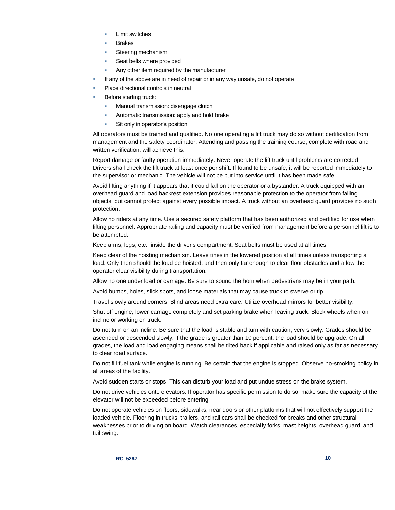- Limit switches
- Brakes
- Steering mechanism
- Seat belts where provided
- Any other item required by the manufacturer
- If any of the above are in need of repair or in any way unsafe, do not operate
- Place directional controls in neutral
- Before starting truck:
	- Manual transmission: disengage clutch
	- Automatic transmission: apply and hold brake
	- Sit only in operator's position

All operators must be trained and qualified. No one operating a lift truck may do so without certification from management and the safety coordinator. Attending and passing the training course, complete with road and written verification, will achieve this.

Report damage or faulty operation immediately. Never operate the lift truck until problems are corrected. Drivers shall check the lift truck at least once per shift. If found to be unsafe, it will be reported immediately to the supervisor or mechanic. The vehicle will not be put into service until it has been made safe.

Avoid lifting anything if it appears that it could fall on the operator or a bystander. A truck equipped with an overhead guard and load backrest extension provides reasonable protection to the operator from falling objects, but cannot protect against every possible impact. A truck without an overhead guard provides no such protection.

Allow no riders at any time. Use a secured safety platform that has been authorized and certified for use when lifting personnel. Appropriate railing and capacity must be verified from management before a personnel lift is to be attempted.

Keep arms, legs, etc., inside the driver's compartment. Seat belts must be used at all times!

Keep clear of the hoisting mechanism. Leave tines in the lowered position at all times unless transporting a load. Only then should the load be hoisted, and then only far enough to clear floor obstacles and allow the operator clear visibility during transportation.

Allow no one under load or carriage. Be sure to sound the horn when pedestrians may be in your path.

Avoid bumps, holes, slick spots, and loose materials that may cause truck to swerve or tip.

Travel slowly around corners. Blind areas need extra care. Utilize overhead mirrors for better visibility.

Shut off engine, lower carriage completely and set parking brake when leaving truck. Block wheels when on incline or working on truck.

Do not turn on an incline. Be sure that the load is stable and turn with caution, very slowly. Grades should be ascended or descended slowly. If the grade is greater than 10 percent, the load should be upgrade. On all grades, the load and load engaging means shall be tilted back if applicable and raised only as far as necessary to clear road surface.

Do not fill fuel tank while engine is running. Be certain that the engine is stopped. Observe no-smoking policy in all areas of the facility.

Avoid sudden starts or stops. This can disturb your load and put undue stress on the brake system.

Do not drive vehicles onto elevators. If operator has specific permission to do so, make sure the capacity of the elevator will not be exceeded before entering.

Do not operate vehicles on floors, sidewalks, near doors or other platforms that will not effectively support the loaded vehicle. Flooring in trucks, trailers, and rail cars shall be checked for breaks and other structural weaknesses prior to driving on board. Watch clearances, especially forks, mast heights, overhead guard, and tail swing.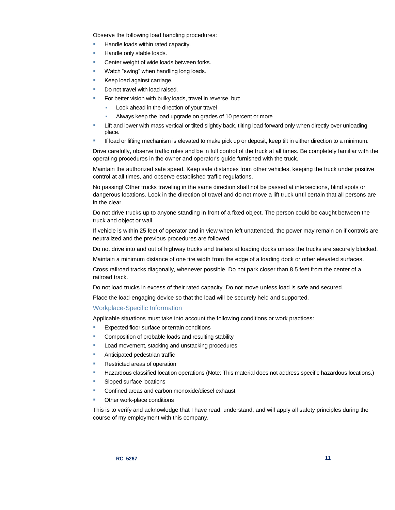Observe the following load handling procedures:

- Handle loads within rated capacity.
- Handle only stable loads.
- Center weight of wide loads between forks.
- Watch "swing" when handling long loads.
- Keep load against carriage.
- Do not travel with load raised.
- **For better vision with bulky loads, travel in reverse, but:** 
	- Look ahead in the direction of your travel
	- Always keep the load upgrade on grades of 10 percent or more
- **EXECT 4** Lift and lower with mass vertical or tilted slightly back, tilting load forward only when directly over unloading place.
- If load or lifting mechanism is elevated to make pick up or deposit, keep tilt in either direction to a minimum.

Drive carefully, observe traffic rules and be in full control of the truck at all times. Be completely familiar with the operating procedures in the owner and operator's guide furnished with the truck.

Maintain the authorized safe speed. Keep safe distances from other vehicles, keeping the truck under positive control at all times, and observe established traffic regulations.

No passing! Other trucks traveling in the same direction shall not be passed at intersections, blind spots or dangerous locations. Look in the direction of travel and do not move a lift truck until certain that all persons are in the clear.

Do not drive trucks up to anyone standing in front of a fixed object. The person could be caught between the truck and object or wall.

If vehicle is within 25 feet of operator and in view when left unattended, the power may remain on if controls are neutralized and the previous procedures are followed.

Do not drive into and out of highway trucks and trailers at loading docks unless the trucks are securely blocked.

Maintain a minimum distance of one tire width from the edge of a loading dock or other elevated surfaces.

Cross railroad tracks diagonally, whenever possible. Do not park closer than 8.5 feet from the center of a railroad track.

Do not load trucks in excess of their rated capacity. Do not move unless load is safe and secured.

Place the load-engaging device so that the load will be securely held and supported.

### Workplace-Specific Information

Applicable situations must take into account the following conditions or work practices:

- Expected floor surface or terrain conditions
- Composition of probable loads and resulting stability
- Load movement, stacking and unstacking procedures
- **Anticipated pedestrian traffic**
- Restricted areas of operation
- Hazardous classified location operations (Note: This material does not address specific hazardous locations.)
- Sloped surface locations
- Confined areas and carbon monoxide/diesel exhaust
- Other work-place conditions

This is to verify and acknowledge that I have read, understand, and will apply all safety principles during the course of my employment with this company.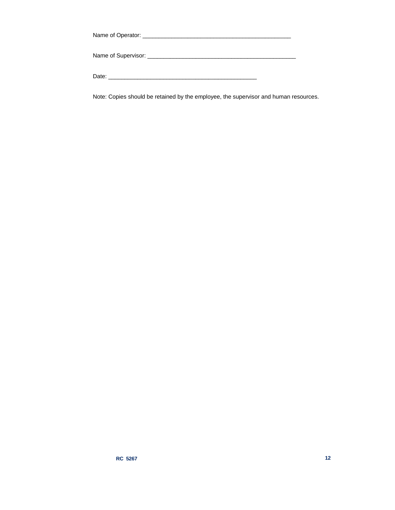| Date: |  |
|-------|--|

Note: Copies should be retained by the employee, the supervisor and human resources.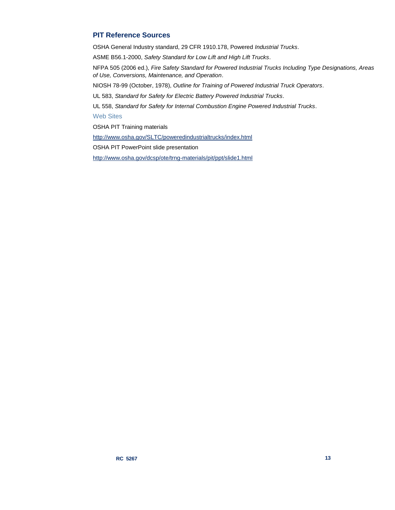# **PIT Reference Sources**

OSHA General Industry standard, 29 CFR 1910.178, Powered *Industrial Trucks*.

ASME B56.1-2000, *Safety Standard for Low Lift and High Lift Trucks*.

NFPA 505 (2006 ed.), *Fire Safety Standard for Powered Industrial Trucks Including Type Designations, Areas of Use, Conversions, Maintenance, and Operation*.

NIOSH 78-99 (October, 1978), *Outline for Training of Powered Industrial Truck Operators*.

UL 583, *Standard for Safety for Electric Battery Powered Industrial Trucks*.

UL 558, *Standard for Safety for Internal Combustion Engine Powered Industrial Trucks*.

# Web Sites

OSHA PIT Training materials

<http://www.osha.gov/SLTC/poweredindustrialtrucks/index.html>

OSHA PIT PowerPoint slide presentation

<http://www.osha.gov/dcsp/ote/trng-materials/pit/ppt/slide1.html>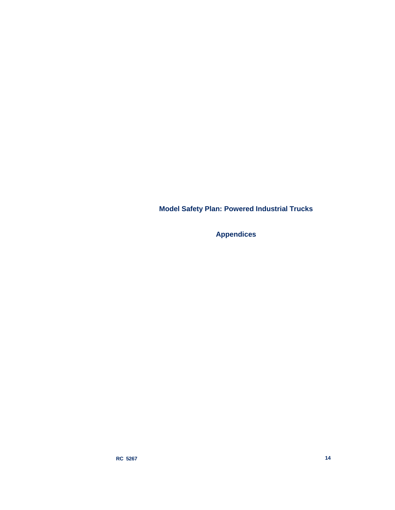**Model Safety Plan: Powered Industrial Trucks**

**Appendices**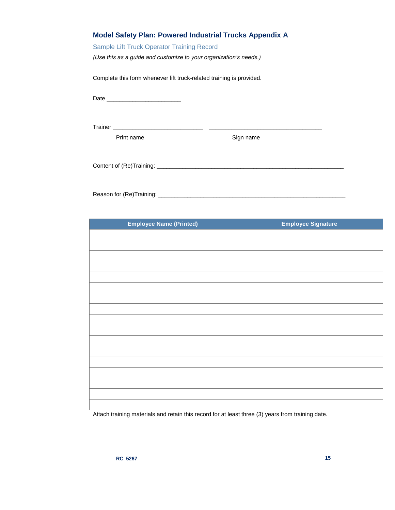# Sample Lift Truck Operator Training Record

*(Use this as a guide and customize to your organization's needs.)*

Complete this form whenever lift truck-related training is provided.

Date \_\_\_\_\_\_\_\_\_\_\_\_\_\_\_\_\_\_\_\_\_\_\_

Trainer \_\_\_\_\_\_\_\_\_\_\_\_\_\_\_\_\_\_\_\_\_\_\_\_\_\_\_\_ \_\_\_\_\_\_\_\_\_\_\_\_\_\_\_\_\_\_\_\_\_\_\_\_\_\_\_\_\_\_\_\_\_\_\_

Print name Sign name

Content of (Re)Training: \_\_\_\_\_\_\_\_\_\_\_\_\_\_\_\_\_\_\_\_\_\_\_\_\_\_\_\_\_\_\_\_\_\_\_\_\_\_\_\_\_\_\_\_\_\_\_\_\_\_\_\_\_\_\_\_\_\_

Reason for (Re)Training: \_\_\_\_\_\_\_\_\_\_\_\_\_\_\_\_\_\_\_\_\_\_\_\_\_\_\_\_\_\_\_\_\_\_\_\_\_\_\_\_\_\_\_\_\_\_\_\_\_\_\_\_\_\_\_\_\_\_

| <b>Employee Name (Printed)</b> | <b>Employee Signature</b> |
|--------------------------------|---------------------------|
|                                |                           |
|                                |                           |
|                                |                           |
|                                |                           |
|                                |                           |
|                                |                           |
|                                |                           |
|                                |                           |
|                                |                           |
|                                |                           |
|                                |                           |
|                                |                           |
|                                |                           |
|                                |                           |
|                                |                           |
|                                |                           |
|                                |                           |

Attach training materials and retain this record for at least three (3) years from training date.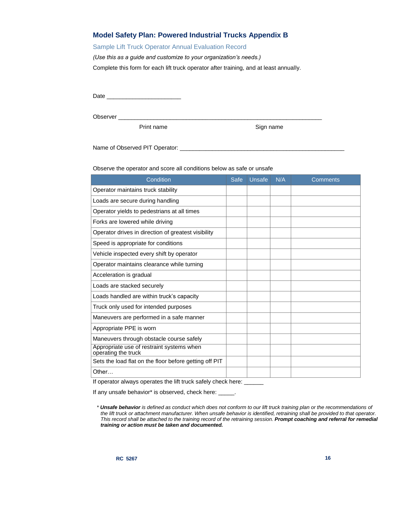# **Model Safety Plan: Powered Industrial Trucks Appendix B**

## Sample Lift Truck Operator Annual Evaluation Record

*(Use this as a guide and customize to your organization's needs.)*

Complete this form for each lift truck operator after training, and at least annually.

Date \_\_\_\_\_\_\_\_\_\_\_\_\_\_\_\_\_\_\_\_\_\_\_

Observer \_\_\_\_

Print name Sign name

Name of Observed PIT Operator: \_\_\_\_\_\_\_\_\_\_\_\_\_\_\_\_\_\_\_\_\_\_\_\_\_\_\_\_\_\_\_\_\_\_\_\_\_\_\_\_\_\_\_\_\_\_\_\_\_\_\_

Observe the operator and score all conditions below as safe or unsafe

| Condition                                                        | <b>Safe</b> | Unsafe | N/A | <b>Comments</b> |
|------------------------------------------------------------------|-------------|--------|-----|-----------------|
| Operator maintains truck stability                               |             |        |     |                 |
| Loads are secure during handling                                 |             |        |     |                 |
| Operator yields to pedestrians at all times                      |             |        |     |                 |
| Forks are lowered while driving                                  |             |        |     |                 |
| Operator drives in direction of greatest visibility              |             |        |     |                 |
| Speed is appropriate for conditions                              |             |        |     |                 |
| Vehicle inspected every shift by operator                        |             |        |     |                 |
| Operator maintains clearance while turning                       |             |        |     |                 |
| Acceleration is gradual                                          |             |        |     |                 |
| Loads are stacked securely                                       |             |        |     |                 |
| Loads handled are within truck's capacity                        |             |        |     |                 |
| Truck only used for intended purposes                            |             |        |     |                 |
| Maneuvers are performed in a safe manner                         |             |        |     |                 |
| Appropriate PPE is worn                                          |             |        |     |                 |
| Maneuvers through obstacle course safely                         |             |        |     |                 |
| Appropriate use of restraint systems when<br>operating the truck |             |        |     |                 |
| Sets the load flat on the floor before getting off PIT           |             |        |     |                 |
| Other                                                            |             |        |     |                 |

If operator always operates the lift truck safely check here: \_\_\_\_\_\_

If any unsafe behavior\* is observed, check here: \_\_\_\_\_.

*<sup>\*</sup> Unsafe behavior is defined as conduct which does not conform to our lift truck training plan or the recommendations of the lift truck or attachment manufacturer. When unsafe behavior is identified, retraining shall be provided to that operator. This record shall be attached to the training record of the retraining session. Prompt coaching and referral for remedial training or action must be taken and documented.*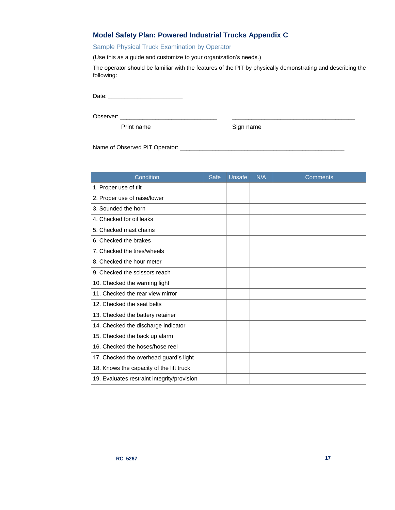# **Model Safety Plan: Powered Industrial Trucks Appendix C**

# Sample Physical Truck Examination by Operator

(Use this as a guide and customize to your organization's needs.)

The operator should be familiar with the features of the PIT by physically demonstrating and describing the following:

Date: \_\_\_\_\_\_\_\_\_\_\_\_\_\_\_\_\_\_\_\_\_\_\_

Observer: \_\_\_\_\_\_\_\_\_\_\_\_\_\_\_\_\_\_\_\_\_\_\_\_\_\_\_\_\_\_ \_\_\_\_\_\_\_\_\_\_\_\_\_\_\_\_\_\_\_\_\_\_\_\_\_\_\_\_\_\_\_\_\_\_\_\_\_\_

Print name Sign name

Name of Observed PIT Operator: \_\_\_\_\_\_\_\_\_\_\_\_\_\_\_\_\_\_\_\_\_\_\_\_\_\_\_\_\_\_\_\_\_\_\_\_\_\_\_\_\_\_\_\_\_\_\_\_\_\_\_

| Condition                                   | Safe | Unsafe | N/A | <b>Comments</b> |
|---------------------------------------------|------|--------|-----|-----------------|
| 1. Proper use of tilt                       |      |        |     |                 |
| 2. Proper use of raise/lower                |      |        |     |                 |
| 3. Sounded the horn                         |      |        |     |                 |
| 4. Checked for oil leaks                    |      |        |     |                 |
| 5. Checked mast chains                      |      |        |     |                 |
| 6. Checked the brakes                       |      |        |     |                 |
| 7. Checked the tires/wheels                 |      |        |     |                 |
| 8. Checked the hour meter                   |      |        |     |                 |
| 9. Checked the scissors reach               |      |        |     |                 |
| 10. Checked the warning light               |      |        |     |                 |
| 11. Checked the rear view mirror            |      |        |     |                 |
| 12. Checked the seat belts                  |      |        |     |                 |
| 13. Checked the battery retainer            |      |        |     |                 |
| 14. Checked the discharge indicator         |      |        |     |                 |
| 15. Checked the back up alarm               |      |        |     |                 |
| 16. Checked the hoses/hose reel             |      |        |     |                 |
| 17. Checked the overhead guard's light      |      |        |     |                 |
| 18. Knows the capacity of the lift truck    |      |        |     |                 |
| 19. Evaluates restraint integrity/provision |      |        |     |                 |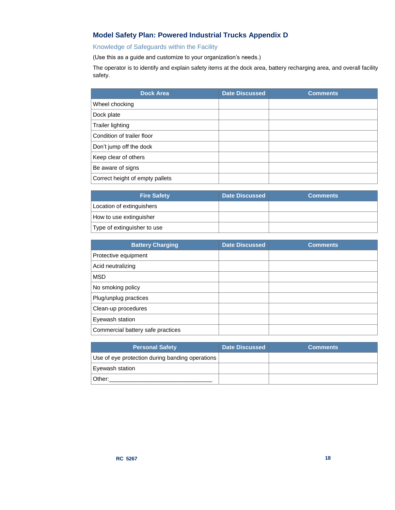# **Model Safety Plan: Powered Industrial Trucks Appendix D**

# Knowledge of Safeguards within the Facility

(Use this as a guide and customize to your organization's needs.)

The operator is to identify and explain safety items at the dock area, battery recharging area, and overall facility safety.

| <b>Dock Area</b>                | <b>Date Discussed</b> | <b>Comments</b> |
|---------------------------------|-----------------------|-----------------|
| Wheel chocking                  |                       |                 |
| Dock plate                      |                       |                 |
| <b>Trailer lighting</b>         |                       |                 |
| Condition of trailer floor      |                       |                 |
| Don't jump off the dock         |                       |                 |
| Keep clear of others            |                       |                 |
| Be aware of signs               |                       |                 |
| Correct height of empty pallets |                       |                 |

| <b>Fire Safety</b>          | Date Discussed | <b>Comments</b> |
|-----------------------------|----------------|-----------------|
| Location of extinguishers   |                |                 |
| How to use extinguisher     |                |                 |
| Type of extinguisher to use |                |                 |

| <b>Battery Charging</b>           | <b>Date Discussed</b> | <b>Comments</b> |
|-----------------------------------|-----------------------|-----------------|
| Protective equipment              |                       |                 |
| Acid neutralizing                 |                       |                 |
| <b>MSD</b>                        |                       |                 |
| No smoking policy                 |                       |                 |
| Plug/unplug practices             |                       |                 |
| Clean-up procedures               |                       |                 |
| Eyewash station                   |                       |                 |
| Commercial battery safe practices |                       |                 |

| <b>Personal Safety</b>                          | <b>Date Discussed</b> | <b>Comments</b> |
|-------------------------------------------------|-----------------------|-----------------|
| Use of eye protection during banding operations |                       |                 |
| <b>Evewash station</b>                          |                       |                 |
| Other:                                          |                       |                 |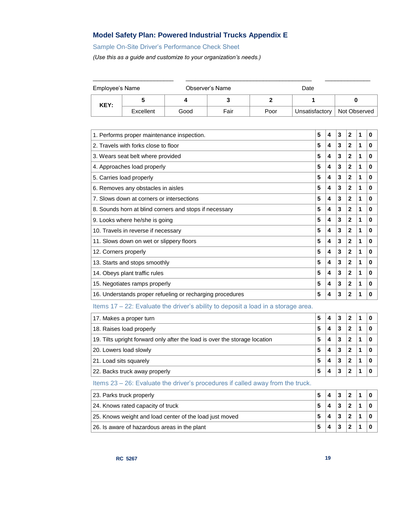# **Model Safety Plan: Powered Industrial Trucks Appendix E**

# Sample On-Site Driver's Performance Check Sheet

*(Use this as a guide and customize to your organization's needs.)*

| Employee's Name |           |      | Observer's Name |      | Date           |              |
|-----------------|-----------|------|-----------------|------|----------------|--------------|
| KEY:            |           | 4    |                 |      |                |              |
|                 | Excellent | Good | Fair            | Poor | Unsatisfactory | Not Observed |

| 1. Performs proper maintenance inspection.                | 5 | 4 | 3 | $\mathbf{2}$ | 1 | 0 |
|-----------------------------------------------------------|---|---|---|--------------|---|---|
| 2. Travels with forks close to floor                      | 5 | 4 | 3 | $\mathbf{2}$ | 1 | 0 |
| 3. Wears seat belt where provided                         | 5 | 4 | 3 | 2            | 1 | 0 |
| 4. Approaches load properly                               | 5 | 4 | 3 | $\mathbf{2}$ | 1 | 0 |
| 5. Carries load properly                                  | 5 | 4 | 3 | $\mathbf{2}$ | 1 | 0 |
| 6. Removes any obstacles in aisles                        | 5 | 4 | 3 | $\mathbf{2}$ | 1 | 0 |
| 7. Slows down at corners or intersections                 | 5 | 4 | 3 | $\mathbf{2}$ | 1 | 0 |
| 8. Sounds horn at blind corners and stops if necessary    | 5 | 4 | 3 | $\mathbf{2}$ | 1 | 0 |
| 9. Looks where he/she is going                            | 5 | 4 | 3 | $\mathbf{2}$ | 1 | 0 |
| 10. Travels in reverse if necessary                       | 5 | 4 | 3 | $\mathbf{2}$ | 1 | 0 |
| 11. Slows down on wet or slippery floors                  | 5 | 4 | 3 | $\mathbf{2}$ | 1 | 0 |
| 12. Corners properly                                      | 5 | 4 | 3 | $\mathbf{2}$ | 1 | 0 |
| 13. Starts and stops smoothly                             | 5 | 4 | 3 | $\mathbf{2}$ | 1 | 0 |
| 14. Obeys plant traffic rules                             | 5 | 4 | 3 | $\mathbf{2}$ | 1 | 0 |
| 15. Negotiates ramps properly                             | 5 | 4 | 3 | $\mathbf{2}$ | 1 | 0 |
| 16. Understands proper refueling or recharging procedures | 5 | 4 | 3 | $\mathbf{2}$ | 1 | 0 |
|                                                           |   |   |   |              |   |   |

Items 17 – 22: Evaluate the driver's ability to deposit a load in a storage area.

| 17. Makes a proper turn<br>5                                               |   | 4 | 3 |   |  |
|----------------------------------------------------------------------------|---|---|---|---|--|
| 18. Raises load properly                                                   |   | 4 | 3 | 2 |  |
| 19. Tilts upright forward only after the load is over the storage location | 5 | 4 | 3 | 2 |  |
| 20. Lowers load slowly<br>5                                                |   | 4 | 3 | 2 |  |
| 21. Load sits squarely                                                     |   | 4 | 3 | 2 |  |
| 22. Backs truck away properly                                              |   | 4 |   | 2 |  |

# Items 23 – 26: Evaluate the driver's procedures if called away from the truck.

| 23. Parks truck properly                                | 5 | $\boldsymbol{\Lambda}$ | 3 | ົ |  |
|---------------------------------------------------------|---|------------------------|---|---|--|
| 24. Knows rated capacity of truck                       | 5 |                        | 3 | າ |  |
| 25. Knows weight and load center of the load just moved |   | Δ                      | 3 | າ |  |
| 26. Is aware of hazardous areas in the plant            |   |                        |   |   |  |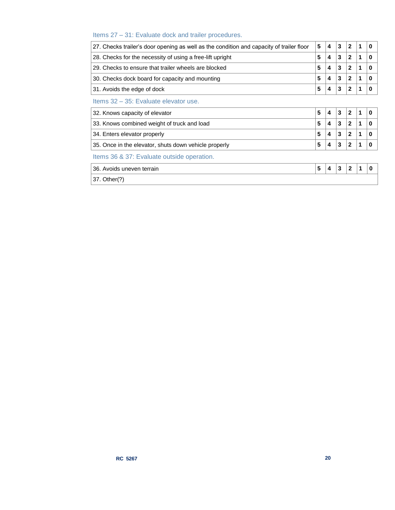# Items 27 – 31: Evaluate dock and trailer procedures.

| 27. Checks trailer's door opening as well as the condition and capacity of trailer floor                                     | 5 | 4 | 3 | $\mathbf{2}$ | 1 | 0 |  |
|------------------------------------------------------------------------------------------------------------------------------|---|---|---|--------------|---|---|--|
| 28. Checks for the necessity of using a free-lift upright                                                                    |   | 4 | 3 | $\mathbf{2}$ | 1 | 0 |  |
| 29. Checks to ensure that trailer wheels are blocked                                                                         |   | 4 | 3 | $\mathbf{2}$ | 1 | 0 |  |
| 5<br>30. Checks dock board for capacity and mounting                                                                         |   | 4 | 3 | $\mathbf{2}$ | 1 | 0 |  |
| 31. Avoids the edge of dock                                                                                                  |   | 4 | 3 | $\mathbf{2}$ |   | 0 |  |
| Items 32 - 35: Evaluate elevator use.                                                                                        |   |   |   |              |   |   |  |
| 5<br>32. Knows capacity of elevator<br>5<br>33. Knows combined weight of truck and load<br>5<br>34. Enters elevator properly |   | 4 | 3 | $\mathbf{2}$ | 1 | 0 |  |
|                                                                                                                              |   | 4 | 3 | $\mathbf{2}$ | 1 | 0 |  |
|                                                                                                                              |   | 4 | 3 | $\mathbf{2}$ | 1 | 0 |  |
| 35. Once in the elevator, shuts down vehicle properly                                                                        |   | 4 | 3 | $\mathbf{2}$ |   | o |  |
| Items 36 & 37: Evaluate outside operation.                                                                                   |   |   |   |              |   |   |  |
| 36. Avoids uneven terrain                                                                                                    |   | 4 | 3 | $\mathbf{2}$ | 1 | 0 |  |
| 37. Other(?)                                                                                                                 |   |   |   |              |   |   |  |
|                                                                                                                              |   |   |   |              |   |   |  |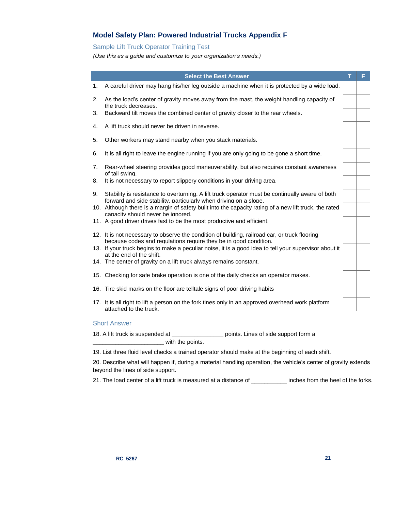# **Model Safety Plan: Powered Industrial Trucks Appendix F**

# Sample Lift Truck Operator Training Test

*(Use this as a guide and customize to your organization's needs.)*

|    | <b>Select the Best Answer</b>                                                                                                                                        | F |
|----|----------------------------------------------------------------------------------------------------------------------------------------------------------------------|---|
| 1. | A careful driver may hang his/her leg outside a machine when it is protected by a wide load.                                                                         |   |
| 2. | As the load's center of gravity moves away from the mast, the weight handling capacity of<br>the truck decreases.                                                    |   |
| 3. | Backward tilt moves the combined center of gravity closer to the rear wheels.                                                                                        |   |
| 4. | A lift truck should never be driven in reverse.                                                                                                                      |   |
| 5. | Other workers may stand nearby when you stack materials.                                                                                                             |   |
| 6. | It is all right to leave the engine running if you are only going to be gone a short time.                                                                           |   |
| 7. | Rear-wheel steering provides good maneuverability, but also requires constant awareness<br>of tail swing.                                                            |   |
| 8. | It is not necessary to report slippery conditions in your driving area.                                                                                              |   |
| 9. | Stability is resistance to overturning. A lift truck operator must be continually aware of both<br>forward and side stability. particularly when driving on a slope. |   |
|    | 10. Although there is a margin of safety built into the capacity rating of a new lift truck, the rated<br>capacity should never be ignored.                          |   |
|    | 11. A good driver drives fast to be the most productive and efficient.                                                                                               |   |
|    | 12. It is not necessary to observe the condition of building, railroad car, or truck flooring<br>because codes and regulations require they be in good condition.    |   |
|    | 13. If your truck begins to make a peculiar noise, it is a good idea to tell your supervisor about it<br>at the end of the shift.                                    |   |
|    | 14. The center of gravity on a lift truck always remains constant.                                                                                                   |   |
|    | 15. Checking for safe brake operation is one of the daily checks an operator makes.                                                                                  |   |
|    | 16. Tire skid marks on the floor are telltale signs of poor driving habits                                                                                           |   |
|    | 17. It is all right to lift a person on the fork tines only in an approved overhead work platform<br>attached to the truck.                                          |   |

18. A lift truck is suspended at \_\_\_\_\_\_\_\_\_\_\_\_\_\_\_\_ points. Lines of side support form a \_\_\_\_\_\_\_\_\_\_\_\_\_\_\_\_\_\_\_\_\_\_ with the points.

19. List three fluid level checks a trained operator should make at the beginning of each shift.

20. Describe what will happen if, during a material handling operation, the vehicle's center of gravity extends beyond the lines of side support.

21. The load center of a lift truck is measured at a distance of \_\_\_\_\_\_\_\_\_\_\_ inches from the heel of the forks.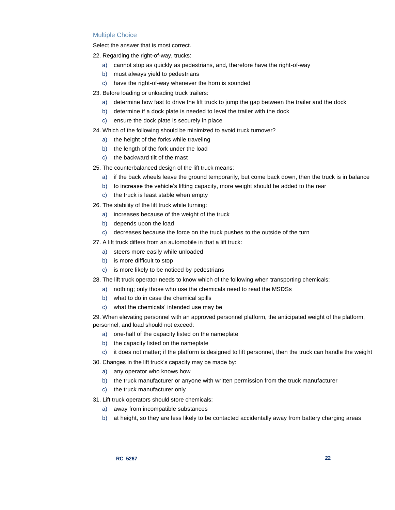#### Multiple Choice

Select the answer that is most correct.

22. Regarding the right-of-way, trucks:

- a) cannot stop as quickly as pedestrians, and, therefore have the right-of-way
- b) must always yield to pedestrians
- c) have the right-of-way whenever the horn is sounded
- 23. Before loading or unloading truck trailers:
	- a) determine how fast to drive the lift truck to jump the gap between the trailer and the dock
	- b) determine if a dock plate is needed to level the trailer with the dock
	- c) ensure the dock plate is securely in place
- 24. Which of the following should be minimized to avoid truck turnover?
	- a) the height of the forks while traveling
	- b) the length of the fork under the load
	- c) the backward tilt of the mast
- 25. The counterbalanced design of the lift truck means:
	- a) if the back wheels leave the ground temporarily, but come back down, then the truck is in balance
	- b) to increase the vehicle's lifting capacity, more weight should be added to the rear
	- c) the truck is least stable when empty
- 26. The stability of the lift truck while turning:
	- a) increases because of the weight of the truck
	- b) depends upon the load
	- c) decreases because the force on the truck pushes to the outside of the turn
- 27. A lift truck differs from an automobile in that a lift truck:
	- a) steers more easily while unloaded
	- b) is more difficult to stop
	- c) is more likely to be noticed by pedestrians
- 28. The lift truck operator needs to know which of the following when transporting chemicals:
	- a) nothing; only those who use the chemicals need to read the MSDSs
	- b) what to do in case the chemical spills
	- c) what the chemicals' intended use may be

29. When elevating personnel with an approved personnel platform, the anticipated weight of the platform, personnel, and load should not exceed:

- a) one-half of the capacity listed on the nameplate
- b) the capacity listed on the nameplate
- c) it does not matter; if the platform is designed to lift personnel, then the truck can handle the weight

30. Changes in the lift truck's capacity may be made by:

- a) any operator who knows how
- b) the truck manufacturer or anyone with written permission from the truck manufacturer
- c) the truck manufacturer only
- 31. Lift truck operators should store chemicals:
	- a) away from incompatible substances
	- b) at height, so they are less likely to be contacted accidentally away from battery charging areas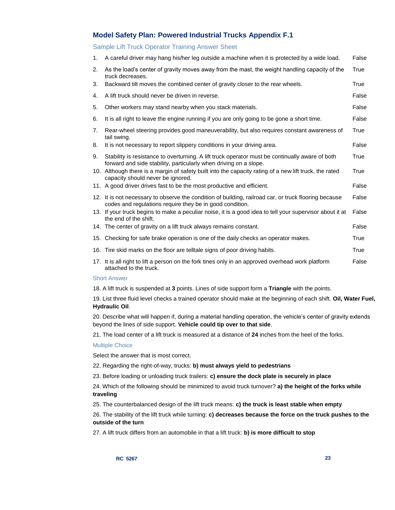# **Model Safety Plan: Powered Industrial Trucks Appendix F.1**

Sample Lift Truck Operator Training Answer Sheet

| 1. | A careful driver may hang his/her leg outside a machine when it is protected by a wide load.                                                                         | False |
|----|----------------------------------------------------------------------------------------------------------------------------------------------------------------------|-------|
| 2. | As the load's center of gravity moves away from the mast, the weight handling capacity of the<br>truck decreases.                                                    | True  |
| 3. | Backward tilt moves the combined center of gravity closer to the rear wheels.                                                                                        | True  |
| 4. | A lift truck should never be driven in reverse.                                                                                                                      | False |
| 5. | Other workers may stand nearby when you stack materials.                                                                                                             | False |
| 6. | It is all right to leave the engine running if you are only going to be gone a short time.                                                                           | False |
| 7. | Rear-wheel steering provides good maneuverability, but also requires constant awareness of<br>tail swing.                                                            | True  |
| 8. | It is not necessary to report slippery conditions in your driving area.                                                                                              | False |
| 9. | Stability is resistance to overturning. A lift truck operator must be continually aware of both<br>forward and side stability, particularly when driving on a slope. | True  |
|    | 10. Although there is a margin of safety built into the capacity rating of a new lift truck, the rated<br>capacity should never be ignored.                          | True  |
|    | 11. A good driver drives fast to be the most productive and efficient.                                                                                               | False |
|    | 12. It is not necessary to observe the condition of building, railroad car, or truck flooring because<br>codes and regulations require they be in good condition.    | False |
|    | 13. If your truck begins to make a peculiar noise, it is a good idea to tell your supervisor about it at<br>the end of the shift.                                    | False |
|    | 14. The center of gravity on a lift truck always remains constant.                                                                                                   | False |
|    | 15. Checking for safe brake operation is one of the daily checks an operator makes.                                                                                  | True  |
|    | 16. Tire skid marks on the floor are telltale signs of poor driving habits.                                                                                          | True  |
|    | 17. It is all right to lift a person on the fork tines only in an approved overhead work platform<br>attached to the truck.                                          | False |

#### Short Answer

18. A lift truck is suspended at **3** points. Lines of side support form a **Triangle** with the points.

19. List three fluid level checks a trained operator should make at the beginning of each shift. **Oil, Water Fuel, Hydraulic Oil**.

20. Describe what will happen if, during a material handling operation, the vehicle's center of gravity extends beyond the lines of side support. **Vehicle could tip over to that side**.

21. The load center of a lift truck is measured at a distance of **24** inches from the heel of the forks.

#### Multiple Choice

Select the answer that is most correct.

22. Regarding the right-of-way, trucks: **b) must always yield to pedestrians** 

23. Before loading or unloading truck trailers: **c) ensure the dock plate is securely in place**

24. Which of the following should be minimized to avoid truck turnover? **a) the height of the forks while traveling** 

25. The counterbalanced design of the lift truck means: **c) the truck is least stable when empty**

26. The stability of the lift truck while turning: **c) decreases because the force on the truck pushes to the outside of the turn**

27. A lift truck differs from an automobile in that a lift truck: **b) is more difficult to stop**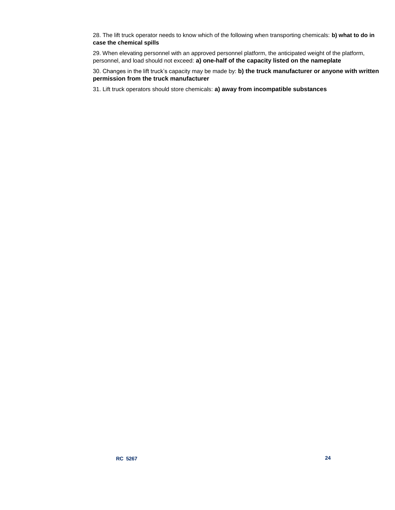28. The lift truck operator needs to know which of the following when transporting chemicals: **b) what to do in case the chemical spills**

29. When elevating personnel with an approved personnel platform, the anticipated weight of the platform, personnel, and load should not exceed: **a) one-half of the capacity listed on the nameplate**

30. Changes in the lift truck's capacity may be made by: **b) the truck manufacturer or anyone with written permission from the truck manufacturer**

31. Lift truck operators should store chemicals: **a) away from incompatible substances**